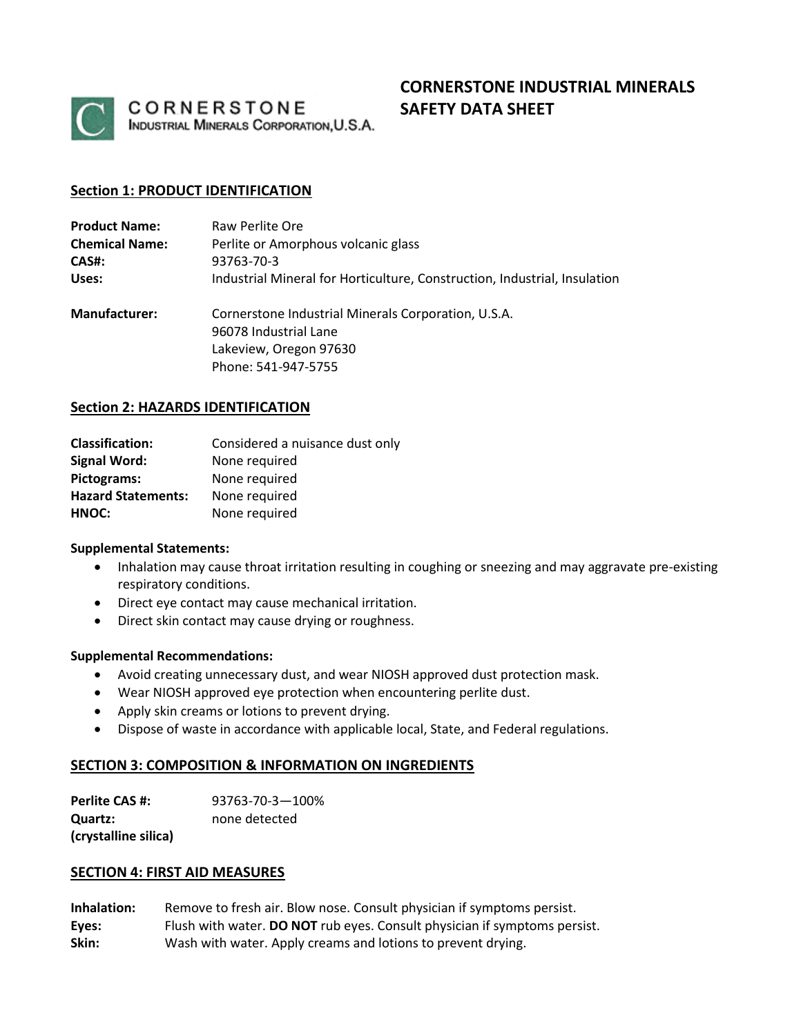

CORNERSTONE INDUSTRIAL MINERALS CORPORATION, U.S.A.

# **CORNERSTONE INDUSTRIAL MINERALS SAFETY DATA SHEET**

# **Section 1: PRODUCT IDENTIFICATION**

| <b>Product Name:</b>  | Raw Perlite Ore                                                              |  |
|-----------------------|------------------------------------------------------------------------------|--|
| <b>Chemical Name:</b> | Perlite or Amorphous volcanic glass                                          |  |
| CAS#:                 | 93763-70-3                                                                   |  |
| Uses:                 | Industrial Mineral for Horticulture, Construction, Industrial, Insulation    |  |
| <b>Manufacturer:</b>  | Cornerstone Industrial Minerals Corporation, U.S.A.<br>96078 Industrial Lane |  |
|                       | Lakeview, Oregon 97630                                                       |  |
|                       | Phone: 541-947-5755                                                          |  |

#### **Section 2: HAZARDS IDENTIFICATION**

| <b>Classification:</b>    | Considered a nuisance dust only |
|---------------------------|---------------------------------|
| <b>Signal Word:</b>       | None required                   |
| Pictograms:               | None required                   |
| <b>Hazard Statements:</b> | None required                   |
| HNOC:                     | None required                   |

#### **Supplemental Statements:**

- Inhalation may cause throat irritation resulting in coughing or sneezing and may aggravate pre-existing respiratory conditions.
- Direct eye contact may cause mechanical irritation.
- Direct skin contact may cause drying or roughness.

#### **Supplemental Recommendations:**

- Avoid creating unnecessary dust, and wear NIOSH approved dust protection mask.
- Wear NIOSH approved eye protection when encountering perlite dust.
- Apply skin creams or lotions to prevent drying.
- Dispose of waste in accordance with applicable local, State, and Federal regulations.

# **SECTION 3: COMPOSITION & INFORMATION ON INGREDIENTS**

| Perlite CAS #:       | 93763-70-3-100% |
|----------------------|-----------------|
| <b>Quartz:</b>       | none detected   |
| (crystalline silica) |                 |

#### **SECTION 4: FIRST AID MEASURES**

| Inhalation: | Remove to fresh air. Blow nose. Consult physician if symptoms persist.    |
|-------------|---------------------------------------------------------------------------|
| Eyes:       | Flush with water. DO NOT rub eyes. Consult physician if symptoms persist. |
| Skin:       | Wash with water. Apply creams and lotions to prevent drying.              |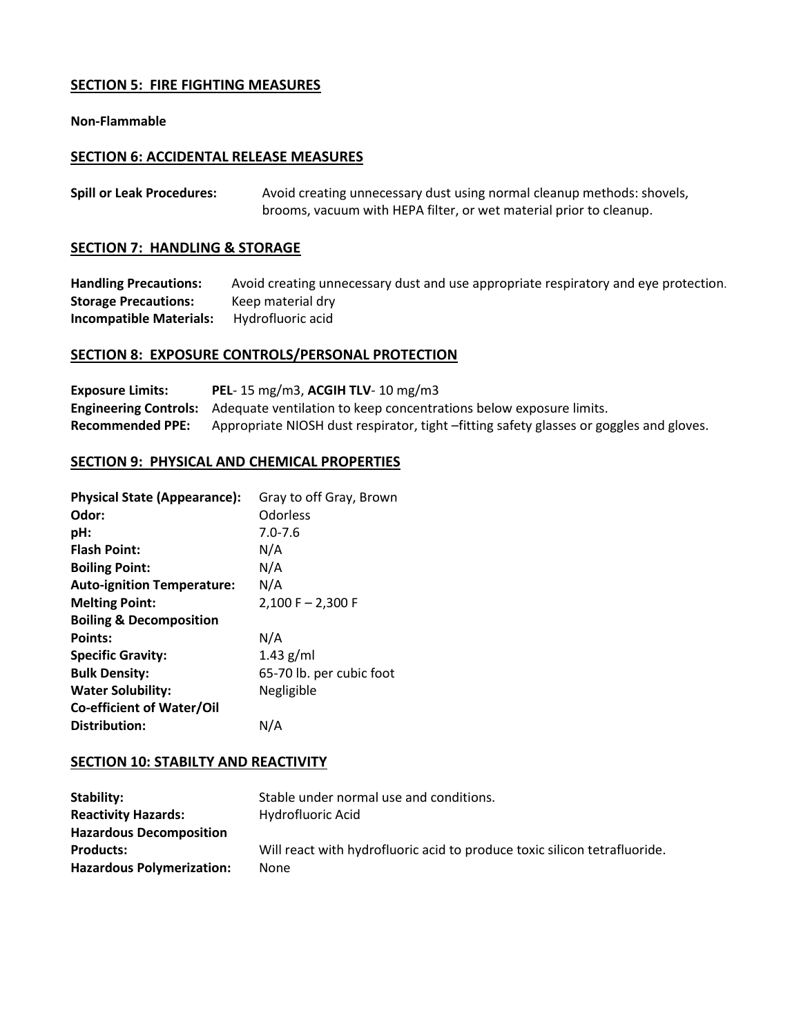# **SECTION 5: FIRE FIGHTING MEASURES**

#### **Non-Flammable**

#### **SECTION 6: ACCIDENTAL RELEASE MEASURES**

| <b>Spill or Leak Procedures:</b> | Avoid creating unnecessary dust using normal cleanup methods: shovels, |
|----------------------------------|------------------------------------------------------------------------|
|                                  | brooms, vacuum with HEPA filter, or wet material prior to cleanup.     |

#### **SECTION 7: HANDLING & STORAGE**

**Handling Precautions:** Avoid creating unnecessary dust and use appropriate respiratory and eye protection. **Storage Precautions:** Keep material dry **Incompatible Materials:** Hydrofluoric acid

# **SECTION 8: EXPOSURE CONTROLS/PERSONAL PROTECTION**

| <b>Exposure Limits:</b> | PEL-15 mg/m3, ACGIH TLV-10 mg/m3                                                                |
|-------------------------|-------------------------------------------------------------------------------------------------|
|                         | <b>Engineering Controls:</b> Adequate ventilation to keep concentrations below exposure limits. |
| <b>Recommended PPE:</b> | Appropriate NIOSH dust respirator, tight -fitting safety glasses or goggles and gloves.         |

#### **SECTION 9: PHYSICAL AND CHEMICAL PROPERTIES**

| <b>Physical State (Appearance):</b> | Gray to off Gray, Brown  |
|-------------------------------------|--------------------------|
| Odor:                               | Odorless                 |
| pH:                                 | $7.0 - 7.6$              |
| <b>Flash Point:</b>                 | N/A                      |
| <b>Boiling Point:</b>               | N/A                      |
| <b>Auto-ignition Temperature:</b>   | N/A                      |
| <b>Melting Point:</b>               | $2,100$ F $- 2,300$ F    |
| <b>Boiling &amp; Decomposition</b>  |                          |
| Points:                             | N/A                      |
| <b>Specific Gravity:</b>            | $1.43$ g/ml              |
| <b>Bulk Density:</b>                | 65-70 lb. per cubic foot |
| <b>Water Solubility:</b>            | Negligible               |
| <b>Co-efficient of Water/Oil</b>    |                          |
| Distribution:                       | N/A                      |

# **SECTION 10: STABILTY AND REACTIVITY**

| Stability:                       | Stable under normal use and conditions.                                   |
|----------------------------------|---------------------------------------------------------------------------|
| <b>Reactivity Hazards:</b>       | Hydrofluoric Acid                                                         |
| <b>Hazardous Decomposition</b>   |                                                                           |
| <b>Products:</b>                 | Will react with hydrofluoric acid to produce toxic silicon tetrafluoride. |
| <b>Hazardous Polymerization:</b> | None                                                                      |